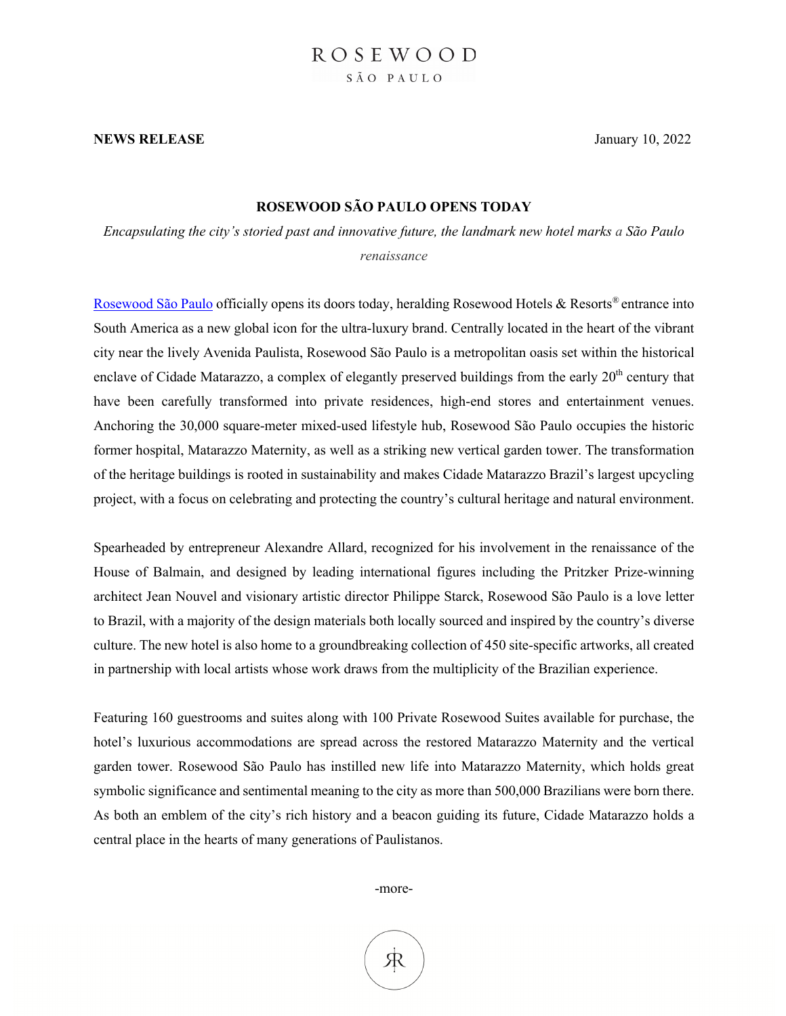#### **NEWS RELEASE** January 10, 2022

### **ROSEWOOD SÃO PAULO OPENS TODAY**

*Encapsulating the city's storied past and innovative future, the landmark new hotel marks a São Paulo renaissance*

Rosewood São Paulo officially opens its doors today, heralding Rosewood Hotels & Resorts® entrance into South America as a new global icon for the ultra-luxury brand. Centrally located in the heart of the vibrant city near the lively Avenida Paulista, Rosewood São Paulo is a metropolitan oasis set within the historical enclave of Cidade Matarazzo, a complex of elegantly preserved buildings from the early  $20<sup>th</sup>$  century that have been carefully transformed into private residences, high-end stores and entertainment venues. Anchoring the 30,000 square-meter mixed-used lifestyle hub, Rosewood São Paulo occupies the historic former hospital, Matarazzo Maternity, as well as a striking new vertical garden tower. The transformation of the heritage buildings is rooted in sustainability and makes Cidade Matarazzo Brazil's largest upcycling project, with a focus on celebrating and protecting the country's cultural heritage and natural environment.

Spearheaded by entrepreneur Alexandre Allard, recognized for his involvement in the renaissance of the House of Balmain, and designed by leading international figures including the Pritzker Prize-winning architect Jean Nouvel and visionary artistic director Philippe Starck, Rosewood São Paulo is a love letter to Brazil, with a majority of the design materials both locally sourced and inspired by the country's diverse culture. The new hotel is also home to a groundbreaking collection of 450 site-specific artworks, all created in partnership with local artists whose work draws from the multiplicity of the Brazilian experience.

Featuring 160 guestrooms and suites along with 100 Private Rosewood Suites available for purchase, the hotel's luxurious accommodations are spread across the restored Matarazzo Maternity and the vertical garden tower. Rosewood São Paulo has instilled new life into Matarazzo Maternity, which holds great symbolic significance and sentimental meaning to the city as more than 500,000 Brazilians were born there. As both an emblem of the city's rich history and a beacon guiding its future, Cidade Matarazzo holds a central place in the hearts of many generations of Paulistanos.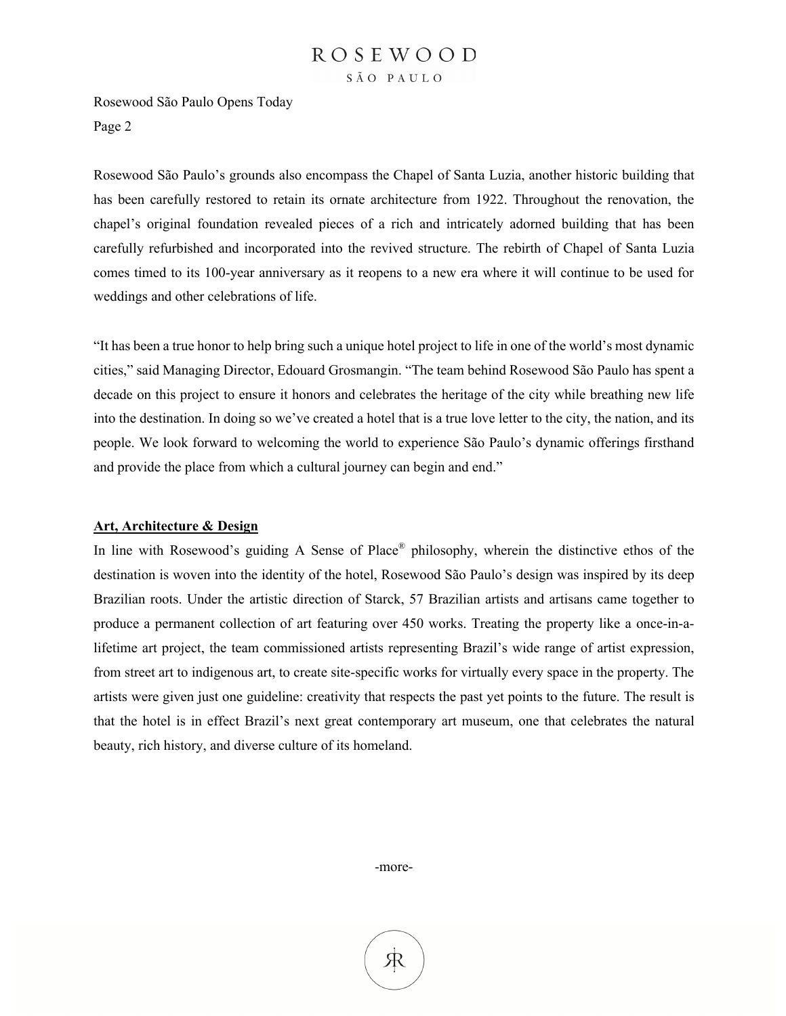Rosewood São Paulo Opens Today Page 2

Rosewood São Paulo's grounds also encompass the Chapel of Santa Luzia, another historic building that has been carefully restored to retain its ornate architecture from 1922. Throughout the renovation, the chapel's original foundation revealed pieces of a rich and intricately adorned building that has been carefully refurbished and incorporated into the revived structure. The rebirth of Chapel of Santa Luzia comes timed to its 100-year anniversary as it reopens to a new era where it will continue to be used for weddings and other celebrations of life.

"It has been a true honor to help bring such a unique hotel project to life in one of the world's most dynamic cities," said Managing Director, Edouard Grosmangin. "The team behind Rosewood São Paulo has spent a decade on this project to ensure it honors and celebrates the heritage of the city while breathing new life into the destination. In doing so we've created a hotel that is a true love letter to the city, the nation, and its people. We look forward to welcoming the world to experience São Paulo's dynamic offerings firsthand and provide the place from which a cultural journey can begin and end."

#### **Art, Architecture & Design**

In line with Rosewood's guiding A Sense of Place® philosophy, wherein the distinctive ethos of the destination is woven into the identity of the hotel, Rosewood São Paulo's design was inspired by its deep Brazilian roots. Under the artistic direction of Starck, 57 Brazilian artists and artisans came together to produce a permanent collection of art featuring over 450 works. Treating the property like a once-in-alifetime art project, the team commissioned artists representing Brazil's wide range of artist expression, from street art to indigenous art, to create site-specific works for virtually every space in the property. The artists were given just one guideline: creativity that respects the past yet points to the future. The result is that the hotel is in effect Brazil's next great contemporary art museum, one that celebrates the natural beauty, rich history, and diverse culture of its homeland.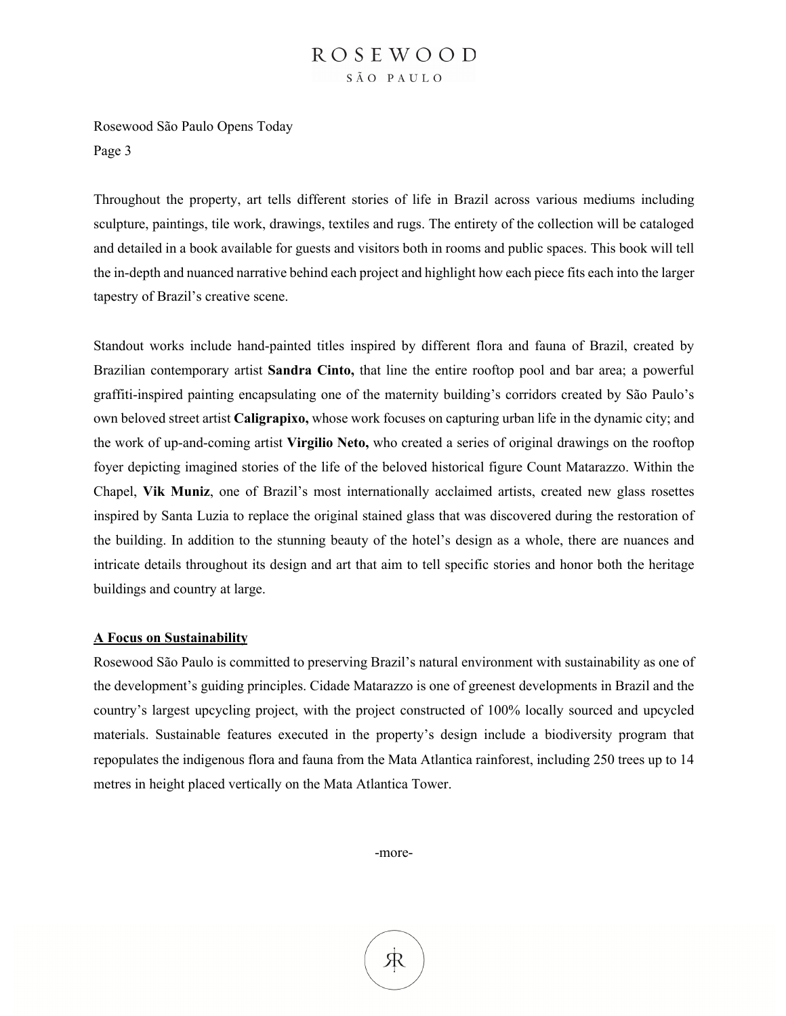Rosewood São Paulo Opens Today Page 3

Throughout the property, art tells different stories of life in Brazil across various mediums including sculpture, paintings, tile work, drawings, textiles and rugs. The entirety of the collection will be cataloged and detailed in a book available for guests and visitors both in rooms and public spaces. This book will tell the in-depth and nuanced narrative behind each project and highlight how each piece fits each into the larger tapestry of Brazil's creative scene.

Standout works include hand-painted titles inspired by different flora and fauna of Brazil, created by Brazilian contemporary artist **Sandra Cinto,** that line the entire rooftop pool and bar area; a powerful graffiti-inspired painting encapsulating one of the maternity building's corridors created by São Paulo's own beloved street artist **Caligrapixo,** whose work focuses on capturing urban life in the dynamic city; and the work of up-and-coming artist **Virgilio Neto,** who created a series of original drawings on the rooftop foyer depicting imagined stories of the life of the beloved historical figure Count Matarazzo. Within the Chapel, **Vik Muniz**, one of Brazil's most internationally acclaimed artists, created new glass rosettes inspired by Santa Luzia to replace the original stained glass that was discovered during the restoration of the building. In addition to the stunning beauty of the hotel's design as a whole, there are nuances and intricate details throughout its design and art that aim to tell specific stories and honor both the heritage buildings and country at large.

#### **A Focus on Sustainability**

Rosewood São Paulo is committed to preserving Brazil's natural environment with sustainability as one of the development's guiding principles. Cidade Matarazzo is one of greenest developments in Brazil and the country's largest upcycling project, with the project constructed of 100% locally sourced and upcycled materials. Sustainable features executed in the property's design include a biodiversity program that repopulates the indigenous flora and fauna from the Mata Atlantica rainforest, including 250 trees up to 14 metres in height placed vertically on the Mata Atlantica Tower.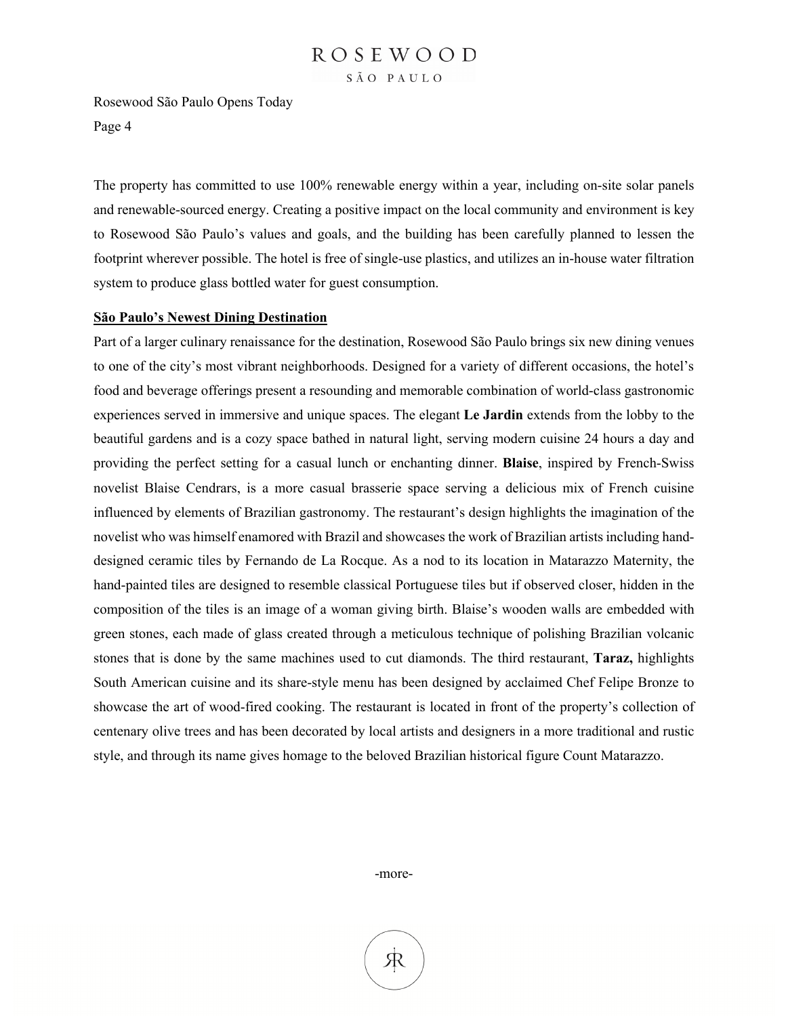Rosewood São Paulo Opens Today Page 4

The property has committed to use 100% renewable energy within a year, including on-site solar panels and renewable-sourced energy. Creating a positive impact on the local community and environment is key to Rosewood São Paulo's values and goals, and the building has been carefully planned to lessen the footprint wherever possible. The hotel is free of single-use plastics, and utilizes an in-house water filtration system to produce glass bottled water for guest consumption.

#### **São Paulo's Newest Dining Destination**

Part of a larger culinary renaissance for the destination, Rosewood São Paulo brings six new dining venues to one of the city's most vibrant neighborhoods. Designed for a variety of different occasions, the hotel's food and beverage offerings present a resounding and memorable combination of world-class gastronomic experiences served in immersive and unique spaces. The elegant **Le Jardin** extends from the lobby to the beautiful gardens and is a cozy space bathed in natural light, serving modern cuisine 24 hours a day and providing the perfect setting for a casual lunch or enchanting dinner. **Blaise**, inspired by French-Swiss novelist Blaise Cendrars, is a more casual brasserie space serving a delicious mix of French cuisine influenced by elements of Brazilian gastronomy. The restaurant's design highlights the imagination of the novelist who was himself enamored with Brazil and showcases the work of Brazilian artists including handdesigned ceramic tiles by Fernando de La Rocque. As a nod to its location in Matarazzo Maternity, the hand-painted tiles are designed to resemble classical Portuguese tiles but if observed closer, hidden in the composition of the tiles is an image of a woman giving birth. Blaise's wooden walls are embedded with green stones, each made of glass created through a meticulous technique of polishing Brazilian volcanic stones that is done by the same machines used to cut diamonds. The third restaurant, **Taraz,** highlights South American cuisine and its share-style menu has been designed by acclaimed Chef Felipe Bronze to showcase the art of wood-fired cooking. The restaurant is located in front of the property's collection of centenary olive trees and has been decorated by local artists and designers in a more traditional and rustic style, and through its name gives homage to the beloved Brazilian historical figure Count Matarazzo.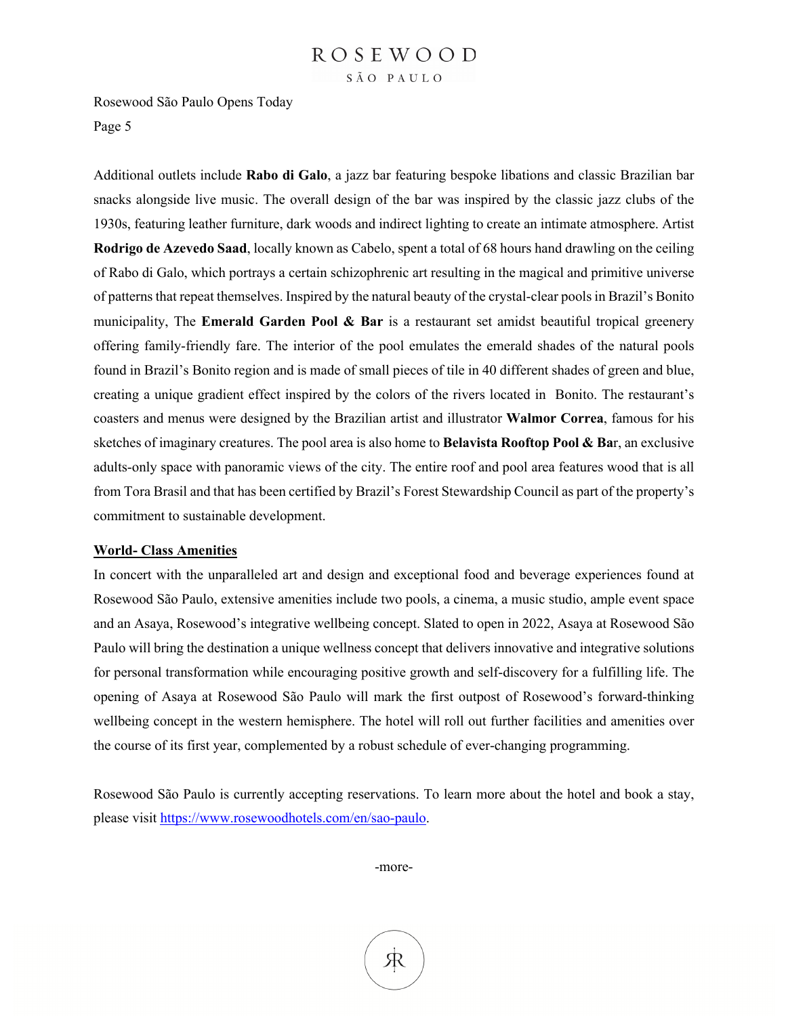Rosewood São Paulo Opens Today Page 5

Additional outlets include **Rabo di Galo**, a jazz bar featuring bespoke libations and classic Brazilian bar snacks alongside live music. The overall design of the bar was inspired by the classic jazz clubs of the 1930s, featuring leather furniture, dark woods and indirect lighting to create an intimate atmosphere. Artist **Rodrigo de Azevedo Saad**, locally known as Cabelo, spent a total of 68 hours hand drawling on the ceiling of Rabo di Galo, which portrays a certain schizophrenic art resulting in the magical and primitive universe of patterns that repeat themselves. Inspired by the natural beauty of the crystal-clear pools in Brazil's Bonito municipality, The **Emerald Garden Pool & Bar** is a restaurant set amidst beautiful tropical greenery offering family-friendly fare. The interior of the pool emulates the emerald shades of the natural pools found in Brazil's Bonito region and is made of small pieces of tile in 40 different shades of green and blue, creating a unique gradient effect inspired by the colors of the rivers located in Bonito. The restaurant's coasters and menus were designed by the Brazilian artist and illustrator **Walmor Correa**, famous for his sketches of imaginary creatures. The pool area is also home to **Belavista Rooftop Pool & Ba**r, an exclusive adults-only space with panoramic views of the city. The entire roof and pool area features wood that is all from Tora Brasil and that has been certified by Brazil's Forest Stewardship Council as part of the property's commitment to sustainable development.

#### **World- Class Amenities**

In concert with the unparalleled art and design and exceptional food and beverage experiences found at Rosewood São Paulo, extensive amenities include two pools, a cinema, a music studio, ample event space and an Asaya, Rosewood's integrative wellbeing concept. Slated to open in 2022, Asaya at Rosewood São Paulo will bring the destination a unique wellness concept that delivers innovative and integrative solutions for personal transformation while encouraging positive growth and self-discovery for a fulfilling life. The opening of Asaya at Rosewood São Paulo will mark the first outpost of Rosewood's forward-thinking wellbeing concept in the western hemisphere. The hotel will roll out further facilities and amenities over the course of its first year, complemented by a robust schedule of ever-changing programming.

Rosewood São Paulo is currently accepting reservations. To learn more about the hotel and book a stay, please visit https://www.rosewoodhotels.com/en/sao-paulo.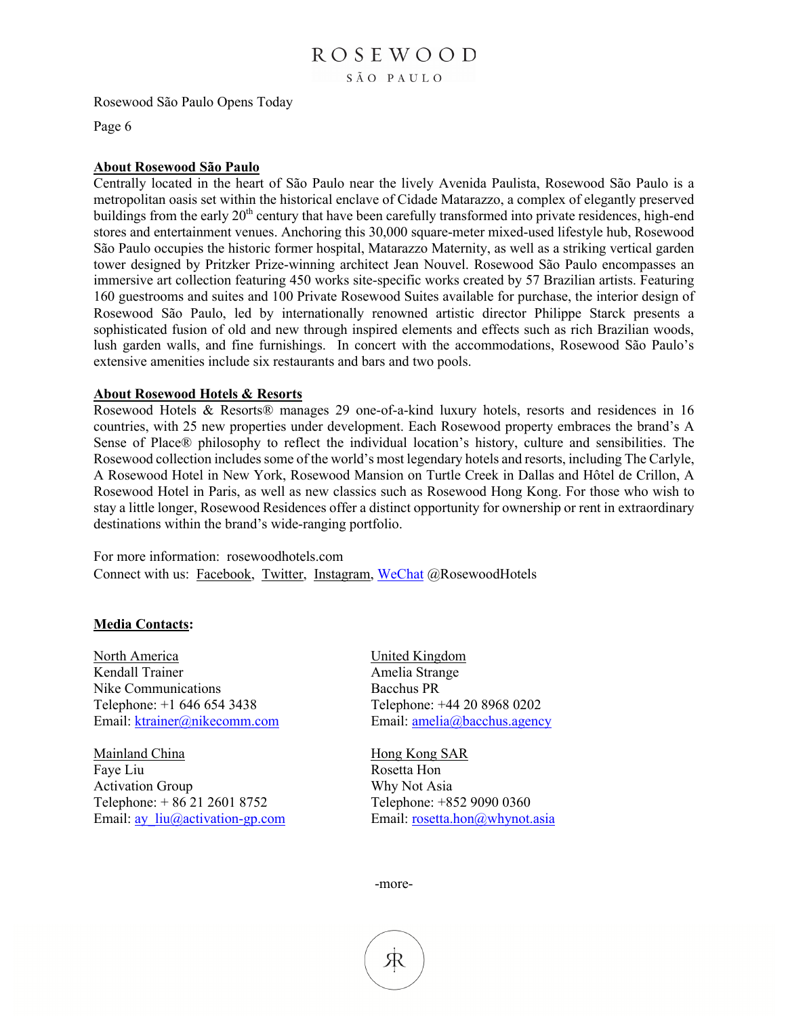Rosewood São Paulo Opens Today

Page 6

#### **About Rosewood São Paulo**

Centrally located in the heart of São Paulo near the lively Avenida Paulista, Rosewood São Paulo is a metropolitan oasis set within the historical enclave of Cidade Matarazzo, a complex of elegantly preserved buildings from the early 20<sup>th</sup> century that have been carefully transformed into private residences, high-end stores and entertainment venues. Anchoring this 30,000 square-meter mixed-used lifestyle hub, Rosewood São Paulo occupies the historic former hospital, Matarazzo Maternity, as well as a striking vertical garden tower designed by Pritzker Prize-winning architect Jean Nouvel. Rosewood São Paulo encompasses an immersive art collection featuring 450 works site-specific works created by 57 Brazilian artists. Featuring 160 guestrooms and suites and 100 Private Rosewood Suites available for purchase, the interior design of Rosewood São Paulo, led by internationally renowned artistic director Philippe Starck presents a sophisticated fusion of old and new through inspired elements and effects such as rich Brazilian woods, lush garden walls, and fine furnishings. In concert with the accommodations, Rosewood São Paulo's extensive amenities include six restaurants and bars and two pools.

#### **About Rosewood Hotels & Resorts**

Rosewood Hotels & Resorts® manages 29 one-of-a-kind luxury hotels, resorts and residences in 16 countries, with 25 new properties under development. Each Rosewood property embraces the brand's A Sense of Place® philosophy to reflect the individual location's history, culture and sensibilities. The Rosewood collection includes some of the world's most legendary hotels and resorts, including The Carlyle, A Rosewood Hotel in New York, Rosewood Mansion on Turtle Creek in Dallas and Hôtel de Crillon, A Rosewood Hotel in Paris, as well as new classics such as Rosewood Hong Kong. For those who wish to stay a little longer, Rosewood Residences offer a distinct opportunity for ownership or rent in extraordinary destinations within the brand's wide-ranging portfolio.

For more information: rosewoodhotels.com Connect with us: Facebook, Twitter, Instagram, WeChat @RosewoodHotels

#### **Media Contacts:**

North America United Kingdom Kendall Trainer Amelia Strange Nike Communications Bacchus PR Telephone: +1 646 654 3438 Telephone: +44 20 8968 0202 Email: ktrainer@nikecomm.com Email: amelia@bacchus.agency

Mainland China Hong Kong SAR Faye Liu Rosetta Hon Activation Group Why Not Asia Telephone: + 86 21 2601 8752 Telephone: +852 9090 0360 Email: ay liu@activation-gp.com Email: rosetta.hon@whynot.asia